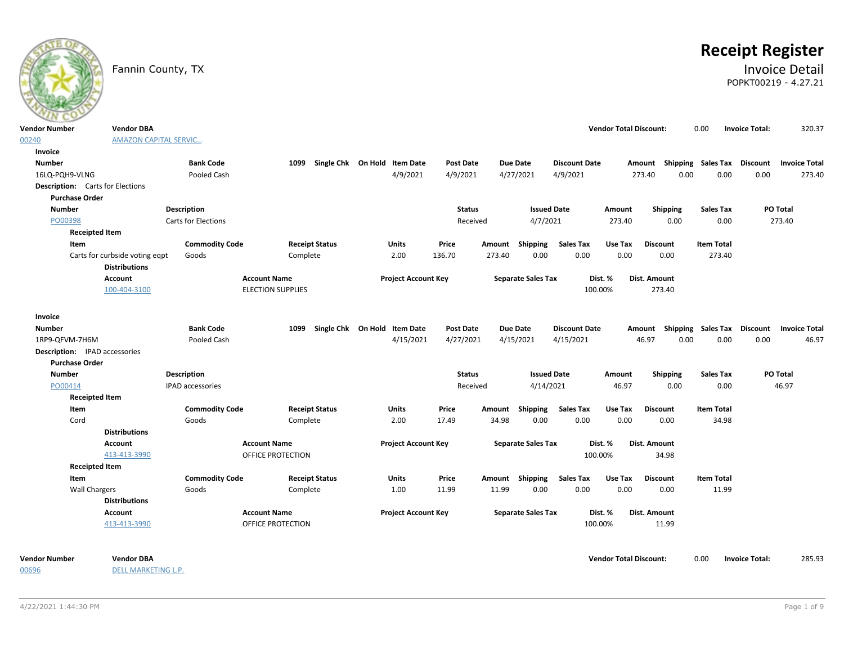# **Receipt Register**

### Fannin County, TX **Invoice Detail** POPKT00219 - 4.27.21

| ---                   |                                                        |                         |                                   |                                   |                  |                 |                           |                      |                               |                                                           |                   |                       |          |
|-----------------------|--------------------------------------------------------|-------------------------|-----------------------------------|-----------------------------------|------------------|-----------------|---------------------------|----------------------|-------------------------------|-----------------------------------------------------------|-------------------|-----------------------|----------|
| <b>Vendor Number</b>  | <b>Vendor DBA</b>                                      |                         |                                   |                                   |                  |                 |                           |                      | <b>Vendor Total Discount:</b> |                                                           | 0.00              | <b>Invoice Total:</b> | 320.37   |
| 00240                 | <b>AMAZON CAPITAL SERVIC</b>                           |                         |                                   |                                   |                  |                 |                           |                      |                               |                                                           |                   |                       |          |
| Invoice               |                                                        |                         |                                   |                                   |                  |                 |                           |                      |                               |                                                           |                   |                       |          |
| <b>Number</b>         |                                                        | <b>Bank Code</b>        |                                   | 1099 Single Chk On Hold Item Date | <b>Post Date</b> |                 | Due Date                  | <b>Discount Date</b> |                               | Amount Shipping Sales Tax Discount Invoice Total          |                   |                       |          |
| 16LQ-PQH9-VLNG        |                                                        | Pooled Cash             |                                   | 4/9/2021                          | 4/9/2021         |                 | 4/27/2021                 | 4/9/2021             |                               | 0.00<br>273.40                                            | 0.00              | 0.00                  | 273.40   |
|                       | <b>Description:</b> Carts for Elections                |                         |                                   |                                   |                  |                 |                           |                      |                               |                                                           |                   |                       |          |
| <b>Purchase Order</b> |                                                        |                         |                                   |                                   |                  |                 |                           |                      |                               |                                                           |                   |                       |          |
| <b>Number</b>         |                                                        | <b>Description</b>      |                                   |                                   | <b>Status</b>    |                 | <b>Issued Date</b>        |                      | Amount                        | Shipping                                                  | <b>Sales Tax</b>  |                       | PO Total |
| PO00398               |                                                        | Carts for Elections     |                                   |                                   | Received         |                 | 4/7/2021                  |                      | 273.40                        | 0.00                                                      | 0.00              |                       | 273.40   |
|                       | <b>Receipted Item</b>                                  |                         |                                   |                                   |                  |                 |                           |                      |                               |                                                           |                   |                       |          |
| Item                  |                                                        | <b>Commodity Code</b>   | <b>Receipt Status</b>             | Units                             | Price            |                 | Amount Shipping           | <b>Sales Tax</b>     | Use Tax                       | <b>Discount</b>                                           | <b>Item Total</b> |                       |          |
|                       | Carts for curbside voting eqpt<br><b>Distributions</b> | Goods                   | Complete                          | 2.00                              | 136.70           | 273.40          | 0.00                      | 0.00                 | 0.00                          | 0.00                                                      | 273.40            |                       |          |
|                       | Account                                                |                         | <b>Account Name</b>               | <b>Project Account Key</b>        |                  |                 | <b>Separate Sales Tax</b> |                      | Dist. %                       | Dist. Amount                                              |                   |                       |          |
|                       | 100-404-3100                                           |                         | <b>ELECTION SUPPLIES</b>          |                                   |                  |                 |                           | 100.00%              |                               | 273.40                                                    |                   |                       |          |
|                       |                                                        |                         |                                   |                                   |                  |                 |                           |                      |                               |                                                           |                   |                       |          |
| Invoice               |                                                        | <b>Bank Code</b>        |                                   | 1099 Single Chk On Hold Item Date |                  |                 |                           |                      |                               |                                                           |                   |                       |          |
| <b>Number</b>         |                                                        | Pooled Cash             |                                   |                                   | Post Date        |                 | Due Date<br>4/15/2021     | <b>Discount Date</b> |                               | Amount Shipping Sales Tax Discount Invoice Total<br>46.97 | 0.00              | 0.00                  | 46.97    |
| 1RP9-QFVM-7H6M        |                                                        |                         |                                   | 4/15/2021                         | 4/27/2021        |                 |                           | 4/15/2021            |                               | 0.00                                                      |                   |                       |          |
| <b>Purchase Order</b> | <b>Description:</b> IPAD accessories                   |                         |                                   |                                   |                  |                 |                           |                      |                               |                                                           |                   |                       |          |
| <b>Number</b>         |                                                        | <b>Description</b>      |                                   |                                   | <b>Status</b>    |                 | <b>Issued Date</b>        |                      | Amount                        | Shipping                                                  | <b>Sales Tax</b>  |                       | PO Total |
| PO00414               |                                                        | <b>IPAD accessories</b> |                                   |                                   | Received         |                 | 4/14/2021                 |                      | 46.97                         | 0.00                                                      | 0.00              |                       | 46.97    |
|                       | <b>Receipted Item</b>                                  |                         |                                   |                                   |                  |                 |                           |                      |                               |                                                           |                   |                       |          |
|                       |                                                        | <b>Commodity Code</b>   |                                   |                                   | Price            |                 |                           | <b>Sales Tax</b>     | Use Tax                       | <b>Discount</b>                                           | <b>Item Total</b> |                       |          |
| Item<br>Cord          |                                                        | Goods                   | <b>Receipt Status</b><br>Complete | Units<br>2.00                     | 17.49            | Amount<br>34.98 | Shipping<br>0.00          | 0.00                 | 0.00                          | 0.00                                                      | 34.98             |                       |          |
|                       | <b>Distributions</b>                                   |                         |                                   |                                   |                  |                 |                           |                      |                               |                                                           |                   |                       |          |
|                       | Account                                                |                         | <b>Account Name</b>               | <b>Project Account Key</b>        |                  |                 | <b>Separate Sales Tax</b> |                      | Dist. %                       | Dist. Amount                                              |                   |                       |          |
|                       | 413-413-3990                                           |                         | OFFICE PROTECTION                 |                                   |                  |                 |                           | 100.00%              |                               | 34.98                                                     |                   |                       |          |
|                       | <b>Receipted Item</b>                                  |                         |                                   |                                   |                  |                 |                           |                      |                               |                                                           |                   |                       |          |
| Item                  |                                                        | <b>Commodity Code</b>   | <b>Receipt Status</b>             | Units                             | Price            |                 | Amount Shipping           | <b>Sales Tax</b>     | Use Tax                       | <b>Discount</b>                                           | <b>Item Total</b> |                       |          |
|                       | Wall Chargers                                          | Goods                   | Complete                          | 1.00                              | 11.99            | 11.99           | 0.00                      | 0.00                 | 0.00                          | 0.00                                                      | 11.99             |                       |          |
|                       | <b>Distributions</b>                                   |                         |                                   |                                   |                  |                 |                           |                      |                               |                                                           |                   |                       |          |
|                       | Account                                                |                         | <b>Account Name</b>               | <b>Project Account Key</b>        |                  |                 | <b>Separate Sales Tax</b> |                      | Dist. %                       | Dist. Amount                                              |                   |                       |          |
|                       | 413-413-3990                                           |                         | OFFICE PROTECTION                 |                                   |                  |                 |                           |                      |                               | 11.99                                                     |                   |                       |          |
|                       |                                                        |                         |                                   |                                   |                  |                 |                           | 100.00%              |                               |                                                           |                   |                       |          |
|                       |                                                        |                         |                                   |                                   |                  |                 |                           |                      |                               |                                                           |                   |                       |          |

00696

DELL MARKETING L.P.

**Vendor Number Vendor Total Discount:** 285.93 **Vendor DBA** 0.00 **Invoice Total:**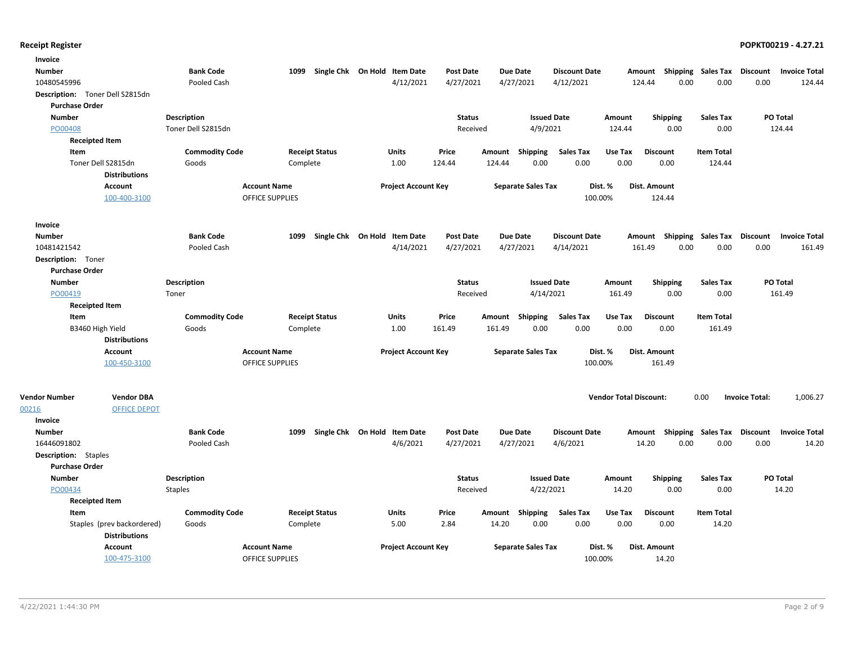| Invoice                         |                      |                                 |                        |                       |                                          |                               |        |                              |                                  |                               |                 |                            |                         |                               |
|---------------------------------|----------------------|---------------------------------|------------------------|-----------------------|------------------------------------------|-------------------------------|--------|------------------------------|----------------------------------|-------------------------------|-----------------|----------------------------|-------------------------|-------------------------------|
| <b>Number</b>                   |                      | <b>Bank Code</b>                | 1099                   |                       | Single Chk On Hold Item Date             | <b>Post Date</b>              |        | <b>Due Date</b>              | <b>Discount Date</b>             | Amount                        |                 | <b>Shipping Sales Tax</b>  | <b>Discount</b>         | <b>Invoice Total</b>          |
| 10480545996                     |                      | Pooled Cash                     |                        |                       | 4/12/2021                                | 4/27/2021                     |        | 4/27/2021                    | 4/12/2021                        | 124.44                        | 0.00            | 0.00                       | 0.00                    | 124.44                        |
| Description: Toner Dell S2815dn |                      |                                 |                        |                       |                                          |                               |        |                              |                                  |                               |                 |                            |                         |                               |
| <b>Purchase Order</b>           |                      |                                 |                        |                       |                                          |                               |        |                              |                                  |                               |                 |                            |                         |                               |
| <b>Number</b>                   |                      | <b>Description</b>              |                        |                       |                                          | <b>Status</b>                 |        | <b>Issued Date</b>           |                                  | Amount                        | <b>Shipping</b> | <b>Sales Tax</b>           |                         | PO Total                      |
| PO00408                         |                      | Toner Dell S2815dn              |                        |                       |                                          | Received                      |        | 4/9/2021                     |                                  | 124.44                        | 0.00            | 0.00                       |                         | 124.44                        |
| <b>Receipted Item</b>           |                      |                                 |                        |                       |                                          |                               |        |                              |                                  |                               |                 |                            |                         |                               |
| Item                            |                      | <b>Commodity Code</b>           |                        | <b>Receipt Status</b> | Units                                    | Price                         | Amount | <b>Shipping</b>              | <b>Sales Tax</b>                 | Use Tax                       | <b>Discount</b> | <b>Item Total</b>          |                         |                               |
| Toner Dell S2815dn              | <b>Distributions</b> | Goods                           | Complete               |                       | 1.00                                     | 124.44                        | 124.44 | 0.00                         | 0.00                             | 0.00                          | 0.00            | 124.44                     |                         |                               |
| <b>Account</b>                  |                      |                                 | <b>Account Name</b>    |                       | <b>Project Account Key</b>               |                               |        | <b>Separate Sales Tax</b>    | Dist. %                          |                               | Dist. Amount    |                            |                         |                               |
|                                 | 100-400-3100         |                                 | <b>OFFICE SUPPLIES</b> |                       |                                          |                               |        |                              | 100.00%                          |                               | 124.44          |                            |                         |                               |
| Invoice                         |                      |                                 |                        |                       |                                          |                               |        |                              |                                  |                               |                 |                            |                         |                               |
| <b>Number</b>                   |                      | <b>Bank Code</b>                | 1099                   | Single Chk On Hold    | <b>Item Date</b>                         | <b>Post Date</b>              |        | <b>Due Date</b>              | <b>Discount Date</b>             | Amount                        |                 | Shipping Sales Tax         | <b>Discount</b>         | <b>Invoice Total</b>          |
| 10481421542                     |                      | Pooled Cash                     |                        |                       | 4/14/2021                                | 4/27/2021                     |        | 4/27/2021                    | 4/14/2021                        | 161.49                        | 0.00            | 0.00                       | 0.00                    | 161.49                        |
| Description: Toner              |                      |                                 |                        |                       |                                          |                               |        |                              |                                  |                               |                 |                            |                         |                               |
| <b>Purchase Order</b>           |                      |                                 |                        |                       |                                          |                               |        |                              |                                  |                               |                 |                            |                         |                               |
| <b>Number</b>                   |                      | Description                     |                        |                       |                                          | <b>Status</b>                 |        | <b>Issued Date</b>           |                                  | Amount                        | <b>Shipping</b> | <b>Sales Tax</b>           |                         | PO Total                      |
| PO00419                         |                      | Toner                           |                        |                       |                                          | Received                      |        | 4/14/2021                    |                                  | 161.49                        | 0.00            | 0.00                       |                         | 161.49                        |
| <b>Receipted Item</b>           |                      |                                 |                        |                       |                                          |                               |        |                              |                                  |                               |                 |                            |                         |                               |
| Item                            |                      | <b>Commodity Code</b>           |                        | <b>Receipt Status</b> | Units                                    | Price                         |        | Amount Shipping              | <b>Sales Tax</b>                 | Use Tax                       | <b>Discount</b> | <b>Item Total</b>          |                         |                               |
| B3460 High Yield                |                      | Goods                           | Complete               |                       | 1.00                                     | 161.49                        | 161.49 | 0.00                         | 0.00                             | 0.00                          | 0.00            | 161.49                     |                         |                               |
|                                 | <b>Distributions</b> |                                 |                        |                       |                                          |                               |        |                              |                                  |                               |                 |                            |                         |                               |
| <b>Account</b>                  |                      |                                 | <b>Account Name</b>    |                       | <b>Project Account Key</b>               |                               |        | <b>Separate Sales Tax</b>    | Dist. %                          |                               | Dist. Amount    |                            |                         |                               |
|                                 | 100-450-3100         |                                 | <b>OFFICE SUPPLIES</b> |                       |                                          |                               |        |                              | 100.00%                          |                               | 161.49          |                            |                         |                               |
|                                 |                      |                                 |                        |                       |                                          |                               |        |                              |                                  |                               |                 |                            |                         |                               |
| <b>Vendor Number</b>            | <b>Vendor DBA</b>    |                                 |                        |                       |                                          |                               |        |                              |                                  | <b>Vendor Total Discount:</b> |                 | 0.00                       | <b>Invoice Total:</b>   | 1,006.27                      |
| 00216                           | <b>OFFICE DEPOT</b>  |                                 |                        |                       |                                          |                               |        |                              |                                  |                               |                 |                            |                         |                               |
| Invoice                         |                      |                                 | 1099                   |                       |                                          |                               |        |                              |                                  |                               |                 |                            |                         |                               |
| <b>Number</b><br>16446091802    |                      | <b>Bank Code</b><br>Pooled Cash |                        |                       | Single Chk On Hold Item Date<br>4/6/2021 | <b>Post Date</b><br>4/27/2021 |        | <b>Due Date</b><br>4/27/2021 | <b>Discount Date</b><br>4/6/2021 | Amount                        | 14.20<br>0.00   | Shipping Sales Tax<br>0.00 | <b>Discount</b><br>0.00 | <b>Invoice Total</b><br>14.20 |
| <b>Description:</b> Staples     |                      |                                 |                        |                       |                                          |                               |        |                              |                                  |                               |                 |                            |                         |                               |
| <b>Purchase Order</b>           |                      |                                 |                        |                       |                                          |                               |        |                              |                                  |                               |                 |                            |                         |                               |
| <b>Number</b>                   |                      | <b>Description</b>              |                        |                       |                                          | <b>Status</b>                 |        | <b>Issued Date</b>           |                                  | Amount                        | <b>Shipping</b> | <b>Sales Tax</b>           |                         | PO Total                      |
| PO00434                         |                      | <b>Staples</b>                  |                        |                       |                                          | Received                      |        | 4/22/2021                    |                                  | 14.20                         | 0.00            | 0.00                       |                         | 14.20                         |
| <b>Receipted Item</b>           |                      |                                 |                        |                       |                                          |                               |        |                              |                                  |                               |                 |                            |                         |                               |
| Item                            |                      | <b>Commodity Code</b>           |                        | <b>Receipt Status</b> | Units                                    | Price                         |        | Amount Shipping              | Sales Tax                        | Use Tax                       | <b>Discount</b> | <b>Item Total</b>          |                         |                               |
| Staples (prev backordered)      | <b>Distributions</b> | Goods                           | Complete               |                       | 5.00                                     | 2.84                          | 14.20  | 0.00                         | 0.00                             | 0.00                          | 0.00            | 14.20                      |                         |                               |
| <b>Account</b>                  |                      |                                 | <b>Account Name</b>    |                       | <b>Project Account Key</b>               |                               |        | <b>Separate Sales Tax</b>    | Dist. %                          |                               | Dist. Amount    |                            |                         |                               |
|                                 | 100-475-3100         |                                 | <b>OFFICE SUPPLIES</b> |                       |                                          |                               |        |                              | 100.00%                          |                               | 14.20           |                            |                         |                               |
|                                 |                      |                                 |                        |                       |                                          |                               |        |                              |                                  |                               |                 |                            |                         |                               |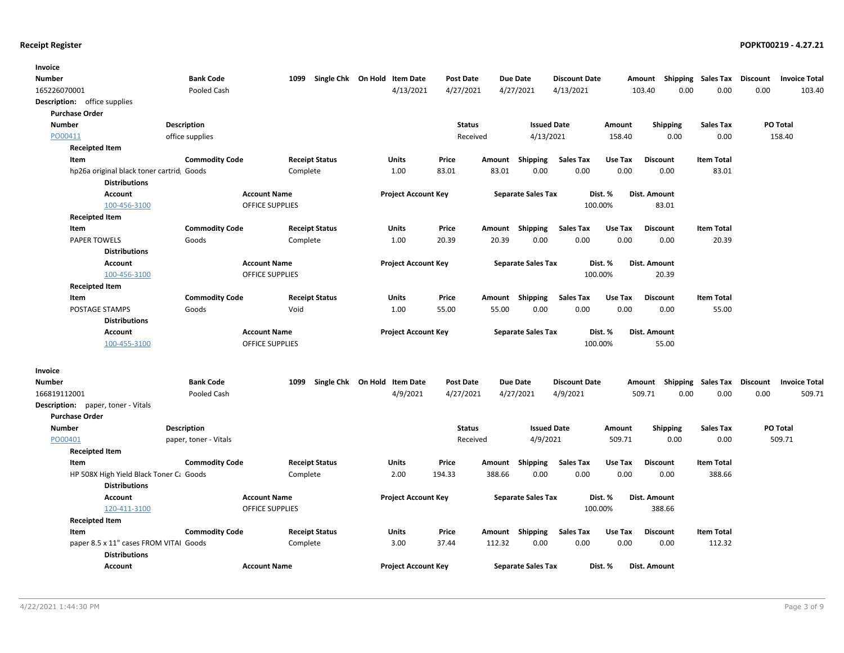| Invoice                                                        |                       |                                               |                              |               |        |                           |                      |         |                                                  |                           |          |                      |
|----------------------------------------------------------------|-----------------------|-----------------------------------------------|------------------------------|---------------|--------|---------------------------|----------------------|---------|--------------------------------------------------|---------------------------|----------|----------------------|
| <b>Number</b>                                                  | <b>Bank Code</b>      | 1099                                          | Single Chk On Hold Item Date | Post Date     |        | <b>Due Date</b>           | <b>Discount Date</b> |         | Amount                                           | <b>Shipping Sales Tax</b> | Discount | <b>Invoice Total</b> |
| 165226070001                                                   | Pooled Cash           |                                               | 4/13/2021                    | 4/27/2021     |        | 4/27/2021                 | 4/13/2021            |         | 103.40<br>0.00                                   | 0.00                      | 0.00     | 103.40               |
| <b>Description:</b> office supplies                            |                       |                                               |                              |               |        |                           |                      |         |                                                  |                           |          |                      |
| <b>Purchase Order</b>                                          |                       |                                               |                              |               |        |                           |                      |         |                                                  |                           |          |                      |
| <b>Number</b>                                                  | <b>Description</b>    |                                               |                              | <b>Status</b> |        | <b>Issued Date</b>        |                      | Amount  | <b>Shipping</b>                                  | <b>Sales Tax</b>          |          | <b>PO Total</b>      |
| PO00411                                                        | office supplies       |                                               |                              | Received      |        | 4/13/2021                 |                      | 158.40  | 0.00                                             | 0.00                      |          | 158.40               |
| <b>Receipted Item</b>                                          |                       |                                               |                              |               |        |                           |                      |         |                                                  |                           |          |                      |
| Item                                                           | <b>Commodity Code</b> | <b>Receipt Status</b>                         | <b>Units</b>                 | Price         | Amount | Shipping                  | <b>Sales Tax</b>     | Use Tax | <b>Discount</b>                                  | <b>Item Total</b>         |          |                      |
| hp26a original black toner cartrid Goods                       |                       | Complete                                      | 1.00                         | 83.01         | 83.01  | 0.00                      | 0.00                 | 0.00    | 0.00                                             | 83.01                     |          |                      |
| <b>Distributions</b>                                           |                       |                                               |                              |               |        |                           |                      |         |                                                  |                           |          |                      |
| <b>Account</b>                                                 |                       | <b>Account Name</b>                           | <b>Project Account Key</b>   |               |        | <b>Separate Sales Tax</b> |                      | Dist. % | Dist. Amount                                     |                           |          |                      |
| 100-456-3100                                                   |                       | <b>OFFICE SUPPLIES</b>                        |                              |               |        |                           | 100.00%              |         | 83.01                                            |                           |          |                      |
| <b>Receipted Item</b>                                          |                       |                                               |                              |               |        |                           |                      |         |                                                  |                           |          |                      |
| Item                                                           | <b>Commodity Code</b> | <b>Receipt Status</b>                         | Units                        | Price         | Amount | Shipping                  | <b>Sales Tax</b>     | Use Tax | <b>Discount</b>                                  | <b>Item Total</b>         |          |                      |
| <b>PAPER TOWELS</b>                                            | Goods                 | Complete                                      | 1.00                         | 20.39         | 20.39  | 0.00                      | 0.00                 | 0.00    | 0.00                                             | 20.39                     |          |                      |
| <b>Distributions</b>                                           |                       |                                               |                              |               |        |                           |                      |         |                                                  |                           |          |                      |
| Account                                                        |                       | <b>Account Name</b>                           | <b>Project Account Key</b>   |               |        | <b>Separate Sales Tax</b> |                      | Dist. % | Dist. Amount                                     |                           |          |                      |
| 100-456-3100                                                   |                       | OFFICE SUPPLIES                               |                              |               |        |                           | 100.00%              |         | 20.39                                            |                           |          |                      |
| <b>Receipted Item</b>                                          |                       |                                               |                              |               |        |                           |                      |         |                                                  |                           |          |                      |
| Item                                                           | <b>Commodity Code</b> | <b>Receipt Status</b>                         | <b>Units</b>                 | Price         |        | Amount Shipping           | <b>Sales Tax</b>     | Use Tax | <b>Discount</b>                                  | <b>Item Total</b>         |          |                      |
| POSTAGE STAMPS                                                 | Goods                 | Void                                          | 1.00                         | 55.00         | 55.00  | 0.00                      | 0.00                 | 0.00    | 0.00                                             | 55.00                     |          |                      |
| <b>Distributions</b>                                           |                       |                                               |                              |               |        |                           |                      |         |                                                  |                           |          |                      |
| <b>Account</b>                                                 |                       | <b>Account Name</b><br><b>OFFICE SUPPLIES</b> | <b>Project Account Key</b>   |               |        | <b>Separate Sales Tax</b> | 100.00%              | Dist. % | Dist. Amount<br>55.00                            |                           |          |                      |
| 100-455-3100                                                   |                       |                                               |                              |               |        |                           |                      |         |                                                  |                           |          |                      |
| Invoice                                                        |                       |                                               |                              |               |        |                           |                      |         |                                                  |                           |          |                      |
| Number                                                         | <b>Bank Code</b>      | 1099                                          | Single Chk On Hold Item Date | Post Date     |        | Due Date                  | <b>Discount Date</b> |         | Amount Shipping Sales Tax Discount Invoice Total |                           |          |                      |
| 166819112001                                                   | Pooled Cash           |                                               | 4/9/2021                     | 4/27/2021     |        | 4/27/2021                 | 4/9/2021             |         | 509.71<br>0.00                                   | 0.00                      | 0.00     | 509.71               |
| <b>Description:</b> paper, toner - Vitals                      |                       |                                               |                              |               |        |                           |                      |         |                                                  |                           |          |                      |
| <b>Purchase Order</b>                                          |                       |                                               |                              |               |        |                           |                      |         |                                                  |                           |          |                      |
| <b>Number</b>                                                  | <b>Description</b>    |                                               |                              | <b>Status</b> |        | <b>Issued Date</b>        |                      | Amount  | <b>Shipping</b>                                  | <b>Sales Tax</b>          |          | PO Total             |
| PO00401                                                        | paper, toner - Vitals |                                               |                              | Received      |        | 4/9/2021                  |                      | 509.71  | 0.00                                             | 0.00                      |          | 509.71               |
| <b>Receipted Item</b>                                          |                       |                                               |                              |               |        |                           |                      |         |                                                  |                           |          |                      |
| Item                                                           | <b>Commodity Code</b> | <b>Receipt Status</b>                         | Units                        | Price         | Amount | Shipping                  | Sales Tax            | Use Tax | <b>Discount</b>                                  | <b>Item Total</b>         |          |                      |
| HP 508X High Yield Black Toner C: Goods                        |                       | Complete                                      | 2.00                         | 194.33        | 388.66 | 0.00                      | 0.00                 | 0.00    | 0.00                                             | 388.66                    |          |                      |
| <b>Distributions</b>                                           |                       |                                               |                              |               |        |                           |                      |         |                                                  |                           |          |                      |
| Account                                                        |                       | <b>Account Name</b>                           | <b>Project Account Key</b>   |               |        | <b>Separate Sales Tax</b> |                      | Dist. % | Dist. Amount                                     |                           |          |                      |
| 120-411-3100                                                   |                       | <b>OFFICE SUPPLIES</b>                        |                              |               |        |                           | 100.00%              |         | 388.66                                           |                           |          |                      |
| <b>Receipted Item</b>                                          |                       |                                               |                              |               |        |                           |                      |         |                                                  |                           |          |                      |
| Item                                                           | <b>Commodity Code</b> | <b>Receipt Status</b>                         | Units                        | Price         |        | Amount Shipping           | <b>Sales Tax</b>     | Use Tax | <b>Discount</b>                                  | <b>Item Total</b>         |          |                      |
| paper 8.5 x 11" cases FROM VITAI Goods<br><b>Distributions</b> |                       | Complete                                      | 3.00                         | 37.44         | 112.32 | 0.00                      | 0.00                 | 0.00    | 0.00                                             | 112.32                    |          |                      |
| Account                                                        |                       | <b>Account Name</b>                           | <b>Project Account Key</b>   |               |        | <b>Separate Sales Tax</b> |                      | Dist. % | Dist. Amount                                     |                           |          |                      |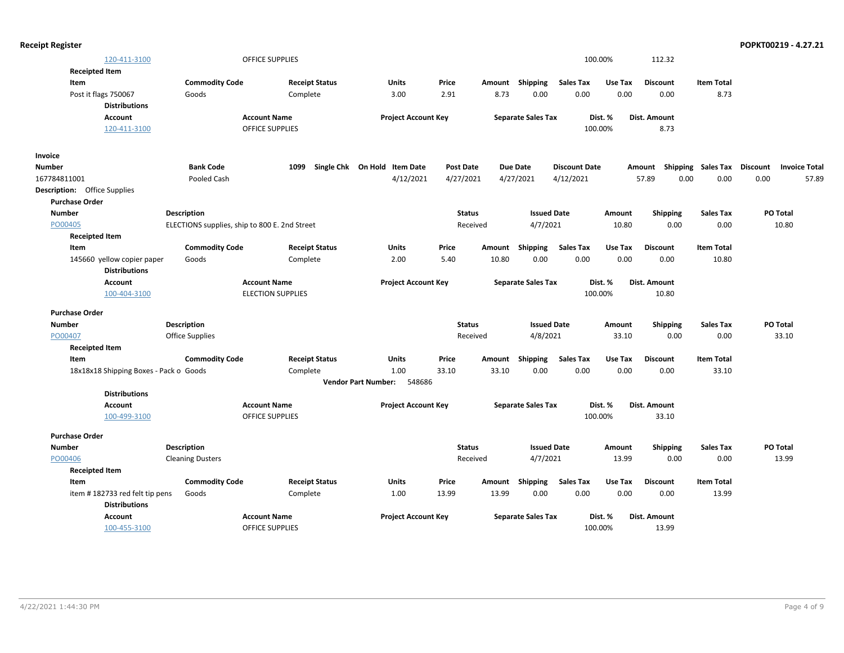|  | <b>Receipt Register</b> |
|--|-------------------------|
|--|-------------------------|

| 120-411-3100                           |                         | OFFICE SUPPLIES                               |                              |                            |               |                           |                      | 100.00% | 112.32              |                   |                                  |       |
|----------------------------------------|-------------------------|-----------------------------------------------|------------------------------|----------------------------|---------------|---------------------------|----------------------|---------|---------------------|-------------------|----------------------------------|-------|
| <b>Receipted Item</b>                  |                         |                                               |                              |                            |               |                           |                      |         |                     |                   |                                  |       |
| Item                                   | <b>Commodity Code</b>   | <b>Receipt Status</b>                         | Units                        | Price                      | Amount        | Shipping                  | <b>Sales Tax</b>     | Use Tax | <b>Discount</b>     | <b>Item Total</b> |                                  |       |
| Post it flags 750067                   | Goods                   | Complete                                      | 3.00                         | 2.91                       | 8.73          | 0.00                      | 0.00                 | 0.00    | 0.00                | 8.73              |                                  |       |
| <b>Distributions</b>                   |                         |                                               |                              |                            |               |                           |                      |         |                     |                   |                                  |       |
| <b>Account</b>                         |                         | <b>Account Name</b>                           |                              | <b>Project Account Key</b> |               | <b>Separate Sales Tax</b> |                      | Dist. % | Dist. Amount        |                   |                                  |       |
| 120-411-3100                           |                         | <b>OFFICE SUPPLIES</b>                        |                              |                            |               |                           |                      | 100.00% | 8.73                |                   |                                  |       |
| Invoice                                |                         |                                               |                              |                            |               |                           |                      |         |                     |                   |                                  |       |
| <b>Number</b>                          | <b>Bank Code</b>        | 1099                                          | Single Chk On Hold Item Date | <b>Post Date</b>           |               | <b>Due Date</b>           | <b>Discount Date</b> |         | Shipping<br>Amount  | Sales Tax         | Discount<br><b>Invoice Total</b> |       |
| 167784811001                           | Pooled Cash             |                                               | 4/12/2021                    | 4/27/2021                  |               | 4/27/2021                 | 4/12/2021            |         | 57.89<br>0.00       | 0.00              | 0.00                             | 57.89 |
| <b>Description:</b> Office Supplies    |                         |                                               |                              |                            |               |                           |                      |         |                     |                   |                                  |       |
| <b>Purchase Order</b>                  |                         |                                               |                              |                            |               |                           |                      |         |                     |                   |                                  |       |
| <b>Number</b>                          | <b>Description</b>      |                                               |                              |                            | <b>Status</b> | <b>Issued Date</b>        |                      | Amount  | Shipping            | <b>Sales Tax</b>  | PO Total                         |       |
| PO00405                                |                         | ELECTIONS supplies, ship to 800 E. 2nd Street |                              |                            | Received      | 4/7/2021                  |                      | 10.80   | 0.00                | 0.00              | 10.80                            |       |
| <b>Receipted Item</b>                  |                         |                                               |                              |                            |               |                           |                      |         |                     |                   |                                  |       |
| Item                                   | <b>Commodity Code</b>   | <b>Receipt Status</b>                         | Units                        | Price                      | Amount        | Shipping                  | <b>Sales Tax</b>     | Use Tax | <b>Discount</b>     | <b>Item Total</b> |                                  |       |
| 145660 yellow copier paper             | Goods                   | Complete                                      | 2.00                         | 5.40                       | 10.80         | 0.00                      | 0.00                 | 0.00    | 0.00                | 10.80             |                                  |       |
| <b>Distributions</b>                   |                         |                                               |                              |                            |               |                           |                      |         |                     |                   |                                  |       |
| <b>Account</b>                         |                         | <b>Account Name</b>                           |                              | <b>Project Account Key</b> |               | <b>Separate Sales Tax</b> |                      | Dist. % | Dist. Amount        |                   |                                  |       |
| 100-404-3100                           |                         | <b>ELECTION SUPPLIES</b>                      |                              |                            |               |                           |                      | 100.00% | 10.80               |                   |                                  |       |
| <b>Purchase Order</b>                  |                         |                                               |                              |                            |               |                           |                      |         |                     |                   |                                  |       |
| <b>Number</b>                          | <b>Description</b>      |                                               |                              |                            | <b>Status</b> | <b>Issued Date</b>        |                      | Amount  | <b>Shipping</b>     | <b>Sales Tax</b>  | PO Total                         |       |
| PO00407                                | Office Supplies         |                                               |                              |                            | Received      | 4/8/2021                  |                      | 33.10   | 0.00                | 0.00              | 33.10                            |       |
| <b>Receipted Item</b>                  |                         |                                               |                              |                            |               |                           |                      |         |                     |                   |                                  |       |
| Item                                   | <b>Commodity Code</b>   | <b>Receipt Status</b>                         | Units                        | Price                      | Amount        | Shipping                  | <b>Sales Tax</b>     | Use Tax | <b>Discount</b>     | <b>Item Total</b> |                                  |       |
| 18x18x18 Shipping Boxes - Pack o Goods |                         | Complete                                      | 1.00                         | 33.10                      | 33.10         | 0.00                      | 0.00                 | 0.00    | 0.00                | 33.10             |                                  |       |
|                                        |                         |                                               | <b>Vendor Part Number:</b>   | 548686                     |               |                           |                      |         |                     |                   |                                  |       |
| <b>Distributions</b>                   |                         |                                               |                              |                            |               |                           |                      |         |                     |                   |                                  |       |
| <b>Account</b>                         |                         | <b>Account Name</b>                           |                              | <b>Project Account Key</b> |               | <b>Separate Sales Tax</b> |                      | Dist. % | <b>Dist. Amount</b> |                   |                                  |       |
| 100-499-3100                           |                         | <b>OFFICE SUPPLIES</b>                        |                              |                            |               |                           |                      | 100.00% | 33.10               |                   |                                  |       |
| <b>Purchase Order</b>                  |                         |                                               |                              |                            |               |                           |                      |         |                     |                   |                                  |       |
| <b>Number</b>                          | Description             |                                               |                              |                            | <b>Status</b> | <b>Issued Date</b>        |                      | Amount  | <b>Shipping</b>     | <b>Sales Tax</b>  | PO Total                         |       |
| PO00406                                | <b>Cleaning Dusters</b> |                                               |                              |                            | Received      | 4/7/2021                  |                      | 13.99   | 0.00                | 0.00              | 13.99                            |       |
| <b>Receipted Item</b>                  |                         |                                               |                              |                            |               |                           |                      |         |                     |                   |                                  |       |
| Item                                   | <b>Commodity Code</b>   | <b>Receipt Status</b>                         | Units                        | Price                      | Amount        | Shipping                  | <b>Sales Tax</b>     | Use Tax | <b>Discount</b>     | <b>Item Total</b> |                                  |       |
| item #182733 red felt tip pens         | Goods                   | Complete                                      | 1.00                         | 13.99                      | 13.99         | 0.00                      | 0.00                 | 0.00    | 0.00                | 13.99             |                                  |       |
| <b>Distributions</b>                   |                         |                                               |                              |                            |               |                           |                      |         |                     |                   |                                  |       |
| <b>Account</b>                         |                         | <b>Account Name</b>                           |                              | <b>Project Account Key</b> |               | <b>Separate Sales Tax</b> |                      | Dist. % | <b>Dist. Amount</b> |                   |                                  |       |
| 100-455-3100                           |                         | <b>OFFICE SUPPLIES</b>                        |                              |                            |               |                           |                      | 100.00% | 13.99               |                   |                                  |       |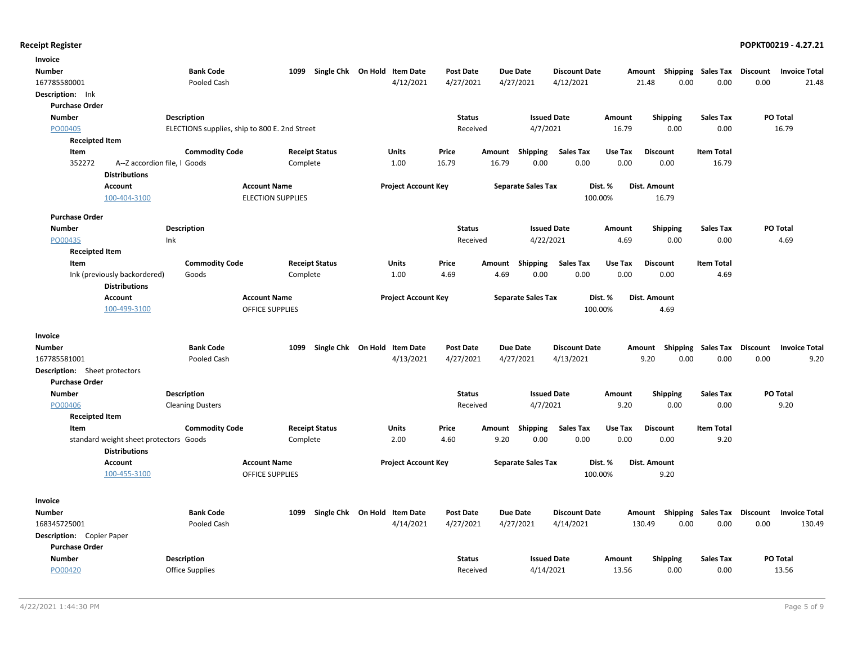| Invoice                                                       |                                               |                          |                              |                  |                           |                      |                     |                                      |                                         |
|---------------------------------------------------------------|-----------------------------------------------|--------------------------|------------------------------|------------------|---------------------------|----------------------|---------------------|--------------------------------------|-----------------------------------------|
| Number                                                        | <b>Bank Code</b>                              | 1099                     | Single Chk On Hold Item Date | <b>Post Date</b> | <b>Due Date</b>           | <b>Discount Date</b> | Amount              | Shipping Sales Tax                   | <b>Discount</b><br><b>Invoice Total</b> |
| 167785580001                                                  | Pooled Cash                                   |                          | 4/12/2021                    | 4/27/2021        | 4/27/2021                 | 4/12/2021            | 21.48               | 0.00                                 | 0.00<br>0.00<br>21.48                   |
| Description: Ink                                              |                                               |                          |                              |                  |                           |                      |                     |                                      |                                         |
| <b>Purchase Order</b>                                         |                                               |                          |                              |                  |                           |                      |                     |                                      |                                         |
| <b>Number</b>                                                 | <b>Description</b>                            |                          |                              | <b>Status</b>    |                           | <b>Issued Date</b>   | Amount              | <b>Shipping</b><br><b>Sales Tax</b>  | PO Total                                |
| PO00405                                                       | ELECTIONS supplies, ship to 800 E. 2nd Street |                          |                              | Received         | 4/7/2021                  |                      | 16.79               | 0.00                                 | 0.00<br>16.79                           |
| <b>Receipted Item</b>                                         |                                               |                          |                              |                  |                           |                      |                     |                                      |                                         |
| Item                                                          | <b>Commodity Code</b>                         | <b>Receipt Status</b>    | Units                        | Price            | Amount<br><b>Shipping</b> | <b>Sales Tax</b>     | Use Tax             | <b>Discount</b><br><b>Item Total</b> |                                         |
| 352272<br>A--Z accordion file, I Goods                        |                                               | Complete                 | 1.00                         | 16.79            | 0.00<br>16.79             | 0.00                 | 0.00                | 0.00<br>16.79                        |                                         |
| <b>Distributions</b>                                          |                                               |                          |                              |                  |                           |                      |                     |                                      |                                         |
| <b>Account</b>                                                |                                               | <b>Account Name</b>      | <b>Project Account Key</b>   |                  | <b>Separate Sales Tax</b> | Dist. %              | <b>Dist. Amount</b> |                                      |                                         |
| 100-404-3100                                                  |                                               | <b>ELECTION SUPPLIES</b> |                              |                  |                           | 100.00%              |                     | 16.79                                |                                         |
| <b>Purchase Order</b>                                         |                                               |                          |                              |                  |                           |                      |                     |                                      |                                         |
| <b>Number</b>                                                 | <b>Description</b>                            |                          |                              | <b>Status</b>    |                           | <b>Issued Date</b>   | Amount              | <b>Shipping</b><br>Sales Tax         | PO Total                                |
| PO00435                                                       | Ink                                           |                          |                              | Received         | 4/22/2021                 |                      | 4.69                | 0.00                                 | 0.00<br>4.69                            |
| <b>Receipted Item</b>                                         |                                               |                          |                              |                  |                           |                      |                     |                                      |                                         |
| Item                                                          | <b>Commodity Code</b>                         | <b>Receipt Status</b>    | <b>Units</b>                 | Price            | Amount<br><b>Shipping</b> | <b>Sales Tax</b>     | Use Tax             | <b>Item Total</b><br><b>Discount</b> |                                         |
| Ink (previously backordered)                                  | Goods                                         | Complete                 | 1.00                         | 4.69             | 4.69<br>0.00              | 0.00                 | 0.00                | 0.00                                 | 4.69                                    |
| <b>Distributions</b>                                          |                                               |                          |                              |                  |                           |                      |                     |                                      |                                         |
| <b>Account</b>                                                |                                               | <b>Account Name</b>      | <b>Project Account Key</b>   |                  | <b>Separate Sales Tax</b> | Dist. %              | Dist. Amount        |                                      |                                         |
| 100-499-3100                                                  |                                               | <b>OFFICE SUPPLIES</b>   |                              |                  |                           | 100.00%              |                     | 4.69                                 |                                         |
|                                                               |                                               |                          |                              |                  |                           |                      |                     |                                      |                                         |
| Invoice                                                       |                                               |                          |                              |                  |                           |                      |                     |                                      |                                         |
| Number                                                        | <b>Bank Code</b>                              | 1099                     | Single Chk On Hold Item Date | <b>Post Date</b> | <b>Due Date</b>           | <b>Discount Date</b> | Amount              | Shipping Sales Tax                   | <b>Discount</b><br><b>Invoice Total</b> |
| 167785581001                                                  | Pooled Cash                                   |                          | 4/13/2021                    | 4/27/2021        | 4/27/2021                 | 4/13/2021            | 9.20                | 0.00                                 | 0.00<br>9.20<br>0.00                    |
| <b>Description:</b> Sheet protectors<br><b>Purchase Order</b> |                                               |                          |                              |                  |                           |                      |                     |                                      |                                         |
| <b>Number</b>                                                 | Description                                   |                          |                              | <b>Status</b>    |                           | <b>Issued Date</b>   | Amount              | <b>Shipping</b><br><b>Sales Tax</b>  | <b>PO Total</b>                         |
| PO00406                                                       | <b>Cleaning Dusters</b>                       |                          |                              | Received         | 4/7/2021                  |                      | 9.20                | 0.00                                 | 0.00<br>9.20                            |
| <b>Receipted Item</b>                                         |                                               |                          |                              |                  |                           |                      |                     |                                      |                                         |
| Item                                                          | <b>Commodity Code</b>                         | <b>Receipt Status</b>    | Units                        | Price            | <b>Shipping</b><br>Amount | <b>Sales Tax</b>     | Use Tax             | <b>Item Total</b><br><b>Discount</b> |                                         |
| standard weight sheet protectors Goods                        |                                               | Complete                 | 2.00                         | 4.60             | 0.00<br>9.20              | 0.00                 | 0.00                | 0.00                                 | 9.20                                    |
| <b>Distributions</b>                                          |                                               |                          |                              |                  |                           |                      |                     |                                      |                                         |
| Account                                                       |                                               | <b>Account Name</b>      | <b>Project Account Key</b>   |                  | <b>Separate Sales Tax</b> | Dist. %              | Dist. Amount        |                                      |                                         |
| 100-455-3100                                                  |                                               | <b>OFFICE SUPPLIES</b>   |                              |                  |                           | 100.00%              |                     | 9.20                                 |                                         |
|                                                               |                                               |                          |                              |                  |                           |                      |                     |                                      |                                         |
| Invoice                                                       |                                               |                          |                              |                  |                           |                      |                     |                                      |                                         |
| Number                                                        | <b>Bank Code</b>                              | 1099                     | Single Chk On Hold Item Date | <b>Post Date</b> | <b>Due Date</b>           | <b>Discount Date</b> |                     | Amount Shipping Sales Tax            | Discount<br><b>Invoice Total</b>        |
| 168345725001                                                  | Pooled Cash                                   |                          | 4/14/2021                    | 4/27/2021        | 4/27/2021                 | 4/14/2021            | 130.49              | 0.00                                 | 0.00<br>0.00<br>130.49                  |
| <b>Description:</b> Copier Paper                              |                                               |                          |                              |                  |                           |                      |                     |                                      |                                         |
| <b>Purchase Order</b>                                         |                                               |                          |                              |                  |                           |                      |                     |                                      |                                         |
| <b>Number</b>                                                 | <b>Description</b>                            |                          |                              | <b>Status</b>    |                           | <b>Issued Date</b>   | Amount              | <b>Shipping</b><br><b>Sales Tax</b>  | <b>PO Total</b>                         |
| PO00420                                                       | <b>Office Supplies</b>                        |                          |                              | Received         | 4/14/2021                 |                      | 13.56               | 0.00                                 | 0.00<br>13.56                           |
|                                                               |                                               |                          |                              |                  |                           |                      |                     |                                      |                                         |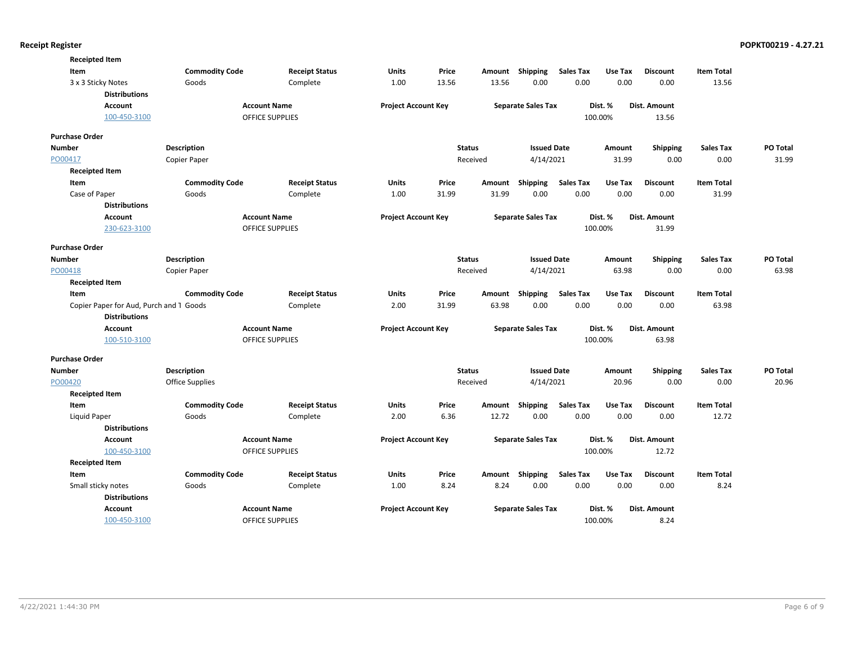| <b>Receipted Item</b>                   |                       |                        |                            |       |               |                           |                  |         |                 |                   |          |
|-----------------------------------------|-----------------------|------------------------|----------------------------|-------|---------------|---------------------------|------------------|---------|-----------------|-------------------|----------|
| Item                                    | <b>Commodity Code</b> | <b>Receipt Status</b>  | Units                      | Price |               | Amount Shipping           | <b>Sales Tax</b> | Use Tax | <b>Discount</b> | <b>Item Total</b> |          |
| 3 x 3 Sticky Notes                      | Goods                 | Complete               | 1.00                       | 13.56 | 13.56         | 0.00                      | 0.00             | 0.00    | 0.00            | 13.56             |          |
| <b>Distributions</b>                    |                       |                        |                            |       |               |                           |                  |         |                 |                   |          |
| <b>Account</b>                          |                       | <b>Account Name</b>    | <b>Project Account Key</b> |       |               | <b>Separate Sales Tax</b> |                  | Dist. % | Dist. Amount    |                   |          |
| 100-450-3100                            |                       | OFFICE SUPPLIES        |                            |       |               |                           |                  | 100.00% | 13.56           |                   |          |
| <b>Purchase Order</b>                   |                       |                        |                            |       |               |                           |                  |         |                 |                   |          |
| <b>Number</b>                           | <b>Description</b>    |                        |                            |       | <b>Status</b> | <b>Issued Date</b>        |                  | Amount  | <b>Shipping</b> | Sales Tax         | PO Total |
| PO00417                                 | Copier Paper          |                        |                            |       | Received      | 4/14/2021                 |                  | 31.99   | 0.00            | 0.00              | 31.99    |
| <b>Receipted Item</b>                   |                       |                        |                            |       |               |                           |                  |         |                 |                   |          |
| Item                                    | <b>Commodity Code</b> | <b>Receipt Status</b>  | Units                      | Price | Amount        | <b>Shipping</b>           | <b>Sales Tax</b> | Use Tax | <b>Discount</b> | <b>Item Total</b> |          |
| Case of Paper                           | Goods                 | Complete               | 1.00                       | 31.99 | 31.99         | 0.00                      | 0.00             | 0.00    | 0.00            | 31.99             |          |
| <b>Distributions</b>                    |                       |                        |                            |       |               |                           |                  |         |                 |                   |          |
| <b>Account</b>                          |                       | <b>Account Name</b>    | <b>Project Account Key</b> |       |               | <b>Separate Sales Tax</b> |                  | Dist. % | Dist. Amount    |                   |          |
| 230-623-3100                            |                       | <b>OFFICE SUPPLIES</b> |                            |       |               |                           |                  | 100.00% | 31.99           |                   |          |
| <b>Purchase Order</b>                   |                       |                        |                            |       |               |                           |                  |         |                 |                   |          |
| <b>Number</b>                           | <b>Description</b>    |                        |                            |       | <b>Status</b> | <b>Issued Date</b>        |                  | Amount  | <b>Shipping</b> | <b>Sales Tax</b>  | PO Total |
| PO00418                                 | Copier Paper          |                        |                            |       | Received      | 4/14/2021                 |                  | 63.98   | 0.00            | 0.00              | 63.98    |
| <b>Receipted Item</b>                   |                       |                        |                            |       |               |                           |                  |         |                 |                   |          |
| Item                                    | <b>Commodity Code</b> | <b>Receipt Status</b>  | Units                      | Price | Amount        | <b>Shipping</b>           | <b>Sales Tax</b> | Use Tax | <b>Discount</b> | <b>Item Total</b> |          |
| Copier Paper for Aud, Purch and 1 Goods |                       | Complete               | 2.00                       | 31.99 | 63.98         | 0.00                      | 0.00             | 0.00    | 0.00            | 63.98             |          |
| <b>Distributions</b>                    |                       |                        |                            |       |               |                           |                  |         |                 |                   |          |
| <b>Account</b>                          |                       | <b>Account Name</b>    | <b>Project Account Key</b> |       |               | <b>Separate Sales Tax</b> |                  | Dist. % | Dist. Amount    |                   |          |
| 100-510-3100                            |                       | OFFICE SUPPLIES        |                            |       |               |                           |                  | 100.00% | 63.98           |                   |          |
| <b>Purchase Order</b>                   |                       |                        |                            |       |               |                           |                  |         |                 |                   |          |
| <b>Number</b>                           | <b>Description</b>    |                        |                            |       | <b>Status</b> | <b>Issued Date</b>        |                  | Amount  | Shipping        | <b>Sales Tax</b>  | PO Total |
| PO00420                                 | Office Supplies       |                        |                            |       | Received      | 4/14/2021                 |                  | 20.96   | 0.00            | 0.00              | 20.96    |
| <b>Receipted Item</b>                   |                       |                        |                            |       |               |                           |                  |         |                 |                   |          |
| Item                                    | <b>Commodity Code</b> | <b>Receipt Status</b>  | <b>Units</b>               | Price | Amount        | Shipping                  | <b>Sales Tax</b> | Use Tax | <b>Discount</b> | <b>Item Total</b> |          |
| Liquid Paper                            | Goods                 | Complete               | 2.00                       | 6.36  | 12.72         | 0.00                      | 0.00             | 0.00    | 0.00            | 12.72             |          |
| <b>Distributions</b>                    |                       |                        |                            |       |               |                           |                  |         |                 |                   |          |
| <b>Account</b>                          |                       | <b>Account Name</b>    | <b>Project Account Key</b> |       |               | <b>Separate Sales Tax</b> |                  | Dist. % | Dist. Amount    |                   |          |
| 100-450-3100                            |                       | <b>OFFICE SUPPLIES</b> |                            |       |               |                           |                  | 100.00% | 12.72           |                   |          |
| <b>Receipted Item</b>                   |                       |                        |                            |       |               |                           |                  |         |                 |                   |          |
| Item                                    | <b>Commodity Code</b> | <b>Receipt Status</b>  | Units                      | Price |               | Amount Shipping           | <b>Sales Tax</b> | Use Tax | <b>Discount</b> | <b>Item Total</b> |          |
| Small sticky notes                      | Goods                 | Complete               | 1.00                       | 8.24  | 8.24          | 0.00                      | 0.00             | 0.00    | 0.00            | 8.24              |          |
| <b>Distributions</b>                    |                       |                        |                            |       |               |                           |                  |         |                 |                   |          |
| <b>Account</b>                          |                       | <b>Account Name</b>    | <b>Project Account Key</b> |       |               | <b>Separate Sales Tax</b> |                  | Dist. % | Dist. Amount    |                   |          |
| 100-450-3100                            |                       | <b>OFFICE SUPPLIES</b> |                            |       |               |                           |                  | 100.00% | 8.24            |                   |          |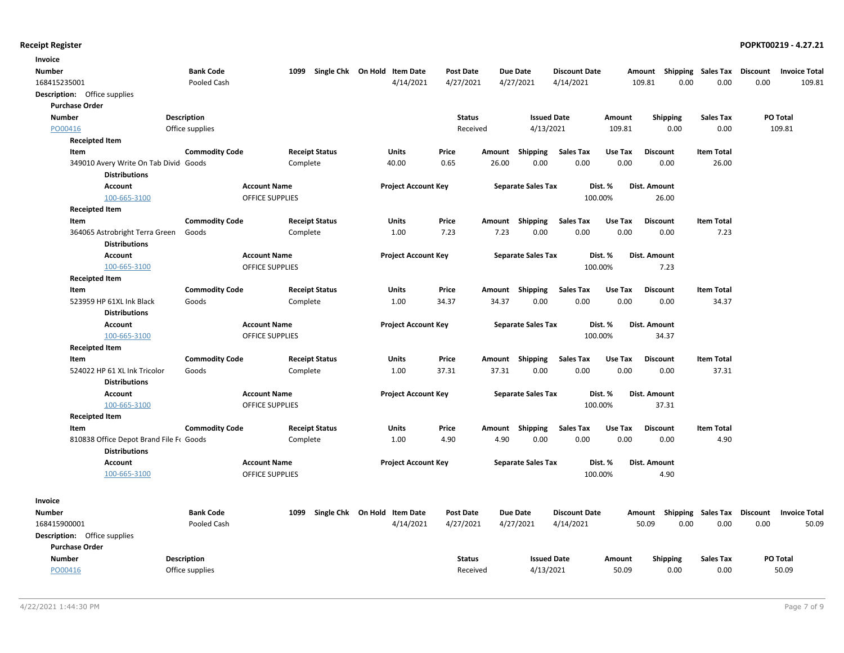| Invoice                                 |                       |                        |                              |                            |                  |        |                           |                      |         |                           |                   |                 |                      |
|-----------------------------------------|-----------------------|------------------------|------------------------------|----------------------------|------------------|--------|---------------------------|----------------------|---------|---------------------------|-------------------|-----------------|----------------------|
| <b>Number</b>                           | <b>Bank Code</b>      | 1099                   | Single Chk On Hold Item Date |                            | Post Date        |        | Due Date                  | <b>Discount Date</b> |         | Amount Shipping Sales Tax |                   | Discount        | <b>Invoice Total</b> |
| 168415235001                            | Pooled Cash           |                        |                              | 4/14/2021                  | 4/27/2021        |        | 4/27/2021                 | 4/14/2021            |         | 0.00<br>109.81            | 0.00              | 0.00            | 109.81               |
| Description: Office supplies            |                       |                        |                              |                            |                  |        |                           |                      |         |                           |                   |                 |                      |
| <b>Purchase Order</b>                   |                       |                        |                              |                            |                  |        |                           |                      |         |                           |                   |                 |                      |
| <b>Number</b>                           | <b>Description</b>    |                        |                              |                            | <b>Status</b>    |        | <b>Issued Date</b>        |                      | Amount  | Shipping                  | <b>Sales Tax</b>  |                 | PO Total             |
| PO00416                                 | Office supplies       |                        |                              |                            | Received         |        | 4/13/2021                 |                      | 109.81  | 0.00                      | 0.00              |                 | 109.81               |
| <b>Receipted Item</b>                   |                       |                        |                              |                            |                  |        |                           |                      |         |                           |                   |                 |                      |
| Item                                    | <b>Commodity Code</b> |                        | <b>Receipt Status</b>        | <b>Units</b>               | Price            | Amount | Shipping                  | Sales Tax            | Use Tax | <b>Discount</b>           | <b>Item Total</b> |                 |                      |
| 349010 Avery Write On Tab Divid Goods   |                       | Complete               |                              | 40.00                      | 0.65             | 26.00  | 0.00                      | 0.00                 | 0.00    | 0.00                      | 26.00             |                 |                      |
| <b>Distributions</b>                    |                       |                        |                              |                            |                  |        |                           |                      |         |                           |                   |                 |                      |
| <b>Account</b>                          |                       | <b>Account Name</b>    |                              | <b>Project Account Key</b> |                  |        | <b>Separate Sales Tax</b> | Dist. %              |         | Dist. Amount              |                   |                 |                      |
| 100-665-3100                            |                       | <b>OFFICE SUPPLIES</b> |                              |                            |                  |        |                           | 100.00%              |         | 26.00                     |                   |                 |                      |
| <b>Receipted Item</b>                   |                       |                        |                              |                            |                  |        |                           |                      |         |                           |                   |                 |                      |
| Item                                    | <b>Commodity Code</b> |                        | <b>Receipt Status</b>        | <b>Units</b>               | Price            |        | Amount Shipping           | <b>Sales Tax</b>     | Use Tax | <b>Discount</b>           | <b>Item Total</b> |                 |                      |
| 364065 Astrobright Terra Green          | Goods                 | Complete               |                              | 1.00                       | 7.23             | 7.23   | 0.00                      | 0.00                 | 0.00    | 0.00                      | 7.23              |                 |                      |
| <b>Distributions</b>                    |                       |                        |                              |                            |                  |        |                           |                      |         |                           |                   |                 |                      |
| <b>Account</b>                          |                       | <b>Account Name</b>    |                              | <b>Project Account Key</b> |                  |        | <b>Separate Sales Tax</b> | Dist. %              |         | Dist. Amount              |                   |                 |                      |
| 100-665-3100                            |                       | <b>OFFICE SUPPLIES</b> |                              |                            |                  |        |                           | 100.00%              |         | 7.23                      |                   |                 |                      |
| <b>Receipted Item</b>                   |                       |                        |                              |                            |                  |        |                           |                      |         |                           |                   |                 |                      |
| Item                                    | <b>Commodity Code</b> |                        | <b>Receipt Status</b>        | <b>Units</b>               | Price            |        | Amount Shipping           | <b>Sales Tax</b>     | Use Tax | <b>Discount</b>           | <b>Item Total</b> |                 |                      |
| 523959 HP 61XL Ink Black                | Goods                 | Complete               |                              | 1.00                       | 34.37            | 34.37  | 0.00                      | 0.00                 | 0.00    | 0.00                      | 34.37             |                 |                      |
| <b>Distributions</b>                    |                       |                        |                              |                            |                  |        |                           |                      |         |                           |                   |                 |                      |
| <b>Account</b>                          |                       | <b>Account Name</b>    |                              | <b>Project Account Key</b> |                  |        | <b>Separate Sales Tax</b> | Dist. %              |         | Dist. Amount              |                   |                 |                      |
| 100-665-3100                            |                       | OFFICE SUPPLIES        |                              |                            |                  |        |                           | 100.00%              |         | 34.37                     |                   |                 |                      |
| <b>Receipted Item</b>                   |                       |                        |                              |                            |                  |        |                           |                      |         |                           |                   |                 |                      |
| Item                                    | <b>Commodity Code</b> |                        | <b>Receipt Status</b>        | <b>Units</b>               | Price            |        | Amount Shipping           | <b>Sales Tax</b>     | Use Tax | <b>Discount</b>           | <b>Item Total</b> |                 |                      |
| 524022 HP 61 XL Ink Tricolor            | Goods                 | Complete               |                              | 1.00                       | 37.31            | 37.31  | 0.00                      | 0.00                 | 0.00    | 0.00                      | 37.31             |                 |                      |
| <b>Distributions</b>                    |                       |                        |                              |                            |                  |        |                           |                      |         |                           |                   |                 |                      |
| Account                                 |                       | <b>Account Name</b>    |                              | <b>Project Account Key</b> |                  |        | <b>Separate Sales Tax</b> | Dist. %              |         | Dist. Amount              |                   |                 |                      |
| 100-665-3100                            |                       | <b>OFFICE SUPPLIES</b> |                              |                            |                  |        |                           | 100.00%              |         | 37.31                     |                   |                 |                      |
| <b>Receipted Item</b>                   |                       |                        |                              |                            |                  |        |                           |                      |         |                           |                   |                 |                      |
| Item                                    | <b>Commodity Code</b> |                        | <b>Receipt Status</b>        | Units                      | Price            |        | Amount Shipping           | <b>Sales Tax</b>     | Use Tax | <b>Discount</b>           | <b>Item Total</b> |                 |                      |
| 810838 Office Depot Brand File Fr Goods |                       | Complete               |                              | 1.00                       | 4.90             | 4.90   | 0.00                      | 0.00                 | 0.00    | 0.00                      | 4.90              |                 |                      |
| <b>Distributions</b>                    |                       |                        |                              |                            |                  |        |                           |                      |         |                           |                   |                 |                      |
| <b>Account</b>                          |                       | <b>Account Name</b>    |                              | <b>Project Account Key</b> |                  |        | <b>Separate Sales Tax</b> | Dist. %              |         | Dist. Amount              |                   |                 |                      |
| 100-665-3100                            |                       | <b>OFFICE SUPPLIES</b> |                              |                            |                  |        |                           | 100.00%              |         | 4.90                      |                   |                 |                      |
|                                         |                       |                        |                              |                            |                  |        |                           |                      |         |                           |                   |                 |                      |
| Invoice                                 |                       |                        |                              |                            |                  |        |                           |                      |         |                           |                   |                 |                      |
| <b>Number</b>                           | <b>Bank Code</b>      | 1099                   | Single Chk On Hold Item Date |                            | <b>Post Date</b> |        | <b>Due Date</b>           | <b>Discount Date</b> |         | Amount Shipping Sales Tax |                   | <b>Discount</b> | <b>Invoice Total</b> |
| 168415900001                            | Pooled Cash           |                        |                              | 4/14/2021                  | 4/27/2021        |        | 4/27/2021                 | 4/14/2021            |         | 50.09<br>0.00             | 0.00              | 0.00            | 50.09                |
| <b>Description:</b> Office supplies     |                       |                        |                              |                            |                  |        |                           |                      |         |                           |                   |                 |                      |
| <b>Purchase Order</b>                   |                       |                        |                              |                            |                  |        |                           |                      |         |                           |                   |                 |                      |
| <b>Number</b>                           | <b>Description</b>    |                        |                              |                            | <b>Status</b>    |        | <b>Issued Date</b>        |                      | Amount  | <b>Shipping</b>           | <b>Sales Tax</b>  |                 | PO Total             |
| PO00416                                 | Office supplies       |                        |                              |                            | Received         |        | 4/13/2021                 |                      | 50.09   | 0.00                      | 0.00              |                 | 50.09                |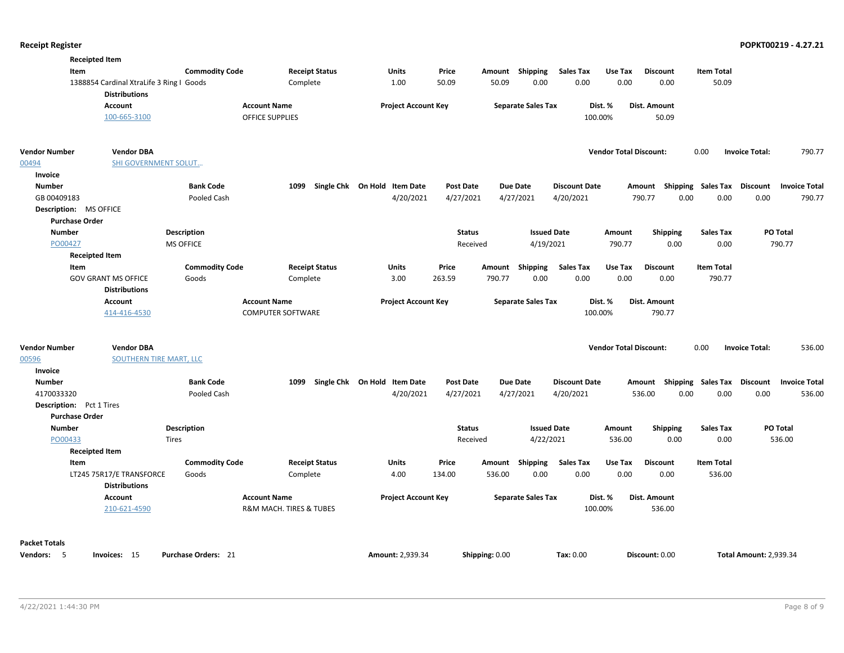| <b>Receipted Item</b>                     |                            |                          |                              |                  |                           |                      |                               |                                      |                                         |
|-------------------------------------------|----------------------------|--------------------------|------------------------------|------------------|---------------------------|----------------------|-------------------------------|--------------------------------------|-----------------------------------------|
| Item                                      | <b>Commodity Code</b>      | <b>Receipt Status</b>    | <b>Units</b>                 | Price            | Amount Shipping           | <b>Sales Tax</b>     | Use Tax                       | <b>Item Total</b><br><b>Discount</b> |                                         |
| 1388854 Cardinal XtraLife 3 Ring I Goods  |                            | Complete                 | 1.00                         | 50.09            | 0.00<br>50.09             | 0.00                 | 0.00                          | 0.00<br>50.09                        |                                         |
| <b>Distributions</b>                      |                            |                          |                              |                  |                           |                      |                               |                                      |                                         |
| Account                                   |                            | <b>Account Name</b>      | <b>Project Account Key</b>   |                  | <b>Separate Sales Tax</b> | Dist. %              | Dist. Amount                  |                                      |                                         |
| 100-665-3100                              |                            | OFFICE SUPPLIES          |                              |                  |                           | 100.00%              |                               | 50.09                                |                                         |
| <b>Vendor Number</b><br><b>Vendor DBA</b> |                            |                          |                              |                  |                           |                      | <b>Vendor Total Discount:</b> | 0.00                                 | <b>Invoice Total:</b><br>790.77         |
| 00494<br>SHI GOVERNMENT SOLUT             |                            |                          |                              |                  |                           |                      |                               |                                      |                                         |
| Invoice                                   |                            |                          |                              |                  |                           |                      |                               |                                      |                                         |
| <b>Number</b>                             | <b>Bank Code</b>           | 1099                     | Single Chk On Hold Item Date | <b>Post Date</b> | <b>Due Date</b>           | <b>Discount Date</b> |                               | Amount Shipping Sales Tax            | Discount<br><b>Invoice Total</b>        |
| GB 00409183                               | Pooled Cash                |                          | 4/20/2021                    | 4/27/2021        | 4/27/2021                 | 4/20/2021            | 790.77                        | 0.00<br>0.00                         | 0.00<br>790.77                          |
| Description: MS OFFICE                    |                            |                          |                              |                  |                           |                      |                               |                                      |                                         |
| <b>Purchase Order</b>                     |                            |                          |                              |                  |                           |                      |                               |                                      |                                         |
| <b>Number</b>                             | Description                |                          |                              | <b>Status</b>    |                           | <b>Issued Date</b>   | Amount                        | <b>Shipping</b><br><b>Sales Tax</b>  | PO Total                                |
| PO00427                                   | <b>MS OFFICE</b>           |                          |                              | Received         | 4/19/2021                 |                      | 790.77                        | 0.00<br>0.00                         | 790.77                                  |
| <b>Receipted Item</b>                     |                            |                          |                              |                  |                           |                      |                               |                                      |                                         |
| Item                                      | <b>Commodity Code</b>      | <b>Receipt Status</b>    | <b>Units</b>                 | Price            | Shipping<br>Amount        | <b>Sales Tax</b>     | Use Tax                       | <b>Discount</b><br><b>Item Total</b> |                                         |
| <b>GOV GRANT MS OFFICE</b>                | Goods                      | Complete                 | 3.00                         | 263.59           | 0.00<br>790.77            | 0.00                 | 0.00                          | 790.77<br>0.00                       |                                         |
| <b>Distributions</b>                      |                            |                          |                              |                  |                           |                      |                               |                                      |                                         |
| Account                                   |                            | <b>Account Name</b>      | <b>Project Account Key</b>   |                  | <b>Separate Sales Tax</b> | Dist. %              | Dist. Amount                  |                                      |                                         |
| 414-416-4530                              |                            | <b>COMPUTER SOFTWARE</b> |                              |                  |                           | 100.00%              |                               | 790.77                               |                                         |
|                                           |                            |                          |                              |                  |                           |                      |                               |                                      |                                         |
| <b>Vendor Number</b><br><b>Vendor DBA</b> |                            |                          |                              |                  |                           |                      | <b>Vendor Total Discount:</b> | 0.00                                 | <b>Invoice Total:</b><br>536.00         |
| 00596<br><b>SOUTHERN TIRE MART, LLC</b>   |                            |                          |                              |                  |                           |                      |                               |                                      |                                         |
| Invoice                                   |                            |                          |                              |                  |                           |                      |                               |                                      |                                         |
| <b>Number</b>                             | <b>Bank Code</b>           | 1099                     | Single Chk On Hold Item Date | <b>Post Date</b> | <b>Due Date</b>           | <b>Discount Date</b> |                               | Amount Shipping Sales Tax            | <b>Discount</b><br><b>Invoice Total</b> |
| 4170033320                                | Pooled Cash                |                          | 4/20/2021                    | 4/27/2021        | 4/27/2021                 | 4/20/2021            | 536.00                        | 0.00<br>0.00                         | 0.00<br>536.00                          |
| <b>Description:</b> Pct 1 Tires           |                            |                          |                              |                  |                           |                      |                               |                                      |                                         |
| <b>Purchase Order</b>                     |                            |                          |                              |                  |                           |                      |                               |                                      |                                         |
| <b>Number</b>                             | Description                |                          |                              | <b>Status</b>    |                           | <b>Issued Date</b>   | Amount                        | <b>Shipping</b><br><b>Sales Tax</b>  | PO Total                                |
| PO00433                                   | <b>Tires</b>               |                          |                              | Received         | 4/22/2021                 |                      | 536.00                        | 0.00<br>0.00                         | 536.00                                  |
| <b>Receipted Item</b>                     |                            |                          |                              |                  |                           |                      |                               |                                      |                                         |
| Item                                      | <b>Commodity Code</b>      | <b>Receipt Status</b>    | Units                        | Price            | Shipping<br>Amount        | <b>Sales Tax</b>     | Use Tax                       | <b>Discount</b><br><b>Item Total</b> |                                         |
| LT245 75R17/E TRANSFORCE                  | Goods                      | Complete                 | 4.00                         | 134.00           | 536.00<br>0.00            | 0.00                 | 0.00                          | 0.00<br>536.00                       |                                         |
| <b>Distributions</b>                      |                            |                          |                              |                  |                           |                      |                               |                                      |                                         |
| Account                                   |                            | <b>Account Name</b>      | <b>Project Account Key</b>   |                  | <b>Separate Sales Tax</b> | Dist. %              | Dist. Amount                  |                                      |                                         |
| 210-621-4590                              |                            | R&M MACH. TIRES & TUBES  |                              |                  |                           | 100.00%              |                               | 536.00                               |                                         |
| <b>Packet Totals</b>                      |                            |                          |                              |                  |                           |                      |                               |                                      |                                         |
| Vendors: 5<br>Invoices: 15                | <b>Purchase Orders: 21</b> |                          | <b>Amount: 2,939.34</b>      |                  | Shipping: 0.00            | Tax: 0.00            | Discount: 0.00                |                                      | <b>Total Amount: 2,939.34</b>           |